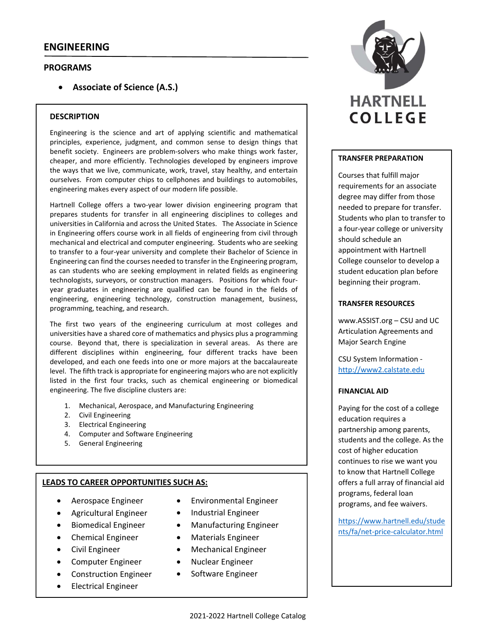## **ENGINEERING**

## **PROGRAMS**

**Associate of Science (A.S.)**

#### **DESCRIPTION**

Engineering is the science and art of applying scientific and mathematical principles, experience, judgment, and common sense to design things that benefit society. Engineers are problem‐solvers who make things work faster, cheaper, and more efficiently. Technologies developed by engineers improve the ways that we live, communicate, work, travel, stay healthy, and entertain ourselves. From computer chips to cellphones and buildings to automobiles, engineering makes every aspect of our modern life possible.

Hartnell College offers a two-year lower division engineering program that prepares students for transfer in all engineering disciplines to colleges and universities in California and across the United States. The Associate in Science in Engineering offers course work in all fields of engineering from civil through mechanical and electrical and computer engineering. Students who are seeking to transfer to a four‐year university and complete their Bachelor of Science in Engineering can find the courses needed to transfer in the Engineering program, as can students who are seeking employment in related fields as engineering technologists, surveyors, or construction managers. Positions for which four‐ year graduates in engineering are qualified can be found in the fields of engineering, engineering technology, construction management, business, programming, teaching, and research.

The first two years of the engineering curriculum at most colleges and universities have a shared core of mathematics and physics plus a programming course. Beyond that, there is specialization in several areas. As there are different disciplines within engineering, four different tracks have been developed, and each one feeds into one or more majors at the baccalaureate level. The fifth track is appropriate for engineering majors who are not explicitly listed in the first four tracks, such as chemical engineering or biomedical engineering. The five discipline clusters are:

- 1. Mechanical, Aerospace, and Manufacturing Engineering
- 2. Civil Engineering
- 3. Electrical Engineering
- 4. Computer and Software Engineering
- 5. General Engineering

#### **LEADS TO CAREER OPPORTUNITIES SUCH AS:**

- Aerospace Engineer
- Agricultural Engineer
- Biomedical Engineer
- Chemical Engineer
- Civil Engineer
- Computer Engineer
- Construction Engineer
- **•** Electrical Engineer
- Environmental Engineer
- Industrial Engineer
- Manufacturing Engineer
- Materials Engineer
- Mechanical Engineer
- Nuclear Engineer
- Software Engineer



#### **TRANSFER PREPARATION**

Courses that fulfill major requirements for an associate degree may differ from those needed to prepare for transfer. Students who plan to transfer to a four‐year college or university should schedule an appointment with Hartnell College counselor to develop a student education plan before beginning their program.

#### **TRANSFER RESOURCES**

www.ASSIST.org – CSU and UC Articulation Agreements and Major Search Engine

CSU System Information ‐ http://www2.calstate.edu

#### **FINANCIAL AID**

Paying for the cost of a college education requires a partnership among parents, students and the college. As the cost of higher education continues to rise we want you to know that Hartnell College offers a full array of financial aid programs, federal loan programs, and fee waivers.

https://www.hartnell.edu/stude nts/fa/net‐price‐calculator.html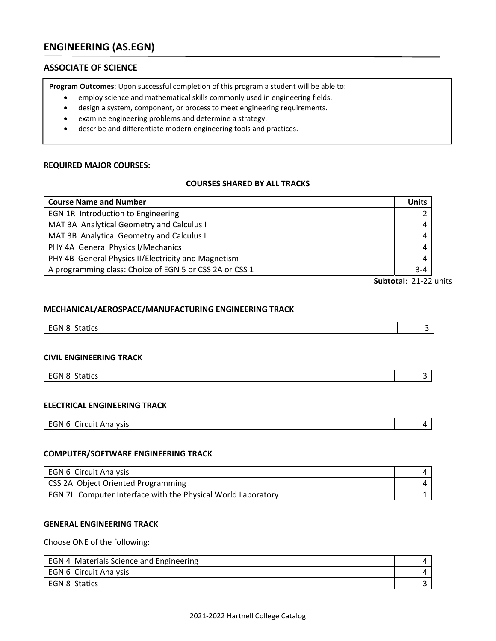# **ENGINEERING (AS.EGN)**

## **ASSOCIATE OF SCIENCE**

**Program Outcomes**: Upon successful completion of this program a student will be able to:

- employ science and mathematical skills commonly used in engineering fields.
- design a system, component, or process to meet engineering requirements.
- examine engineering problems and determine a strategy.
- describe and differentiate modern engineering tools and practices.

## **REQUIRED MAJOR COURSES:**

#### **COURSES SHARED BY ALL TRACKS**

| <b>Course Name and Number</b>                           | <b>Units</b> |
|---------------------------------------------------------|--------------|
| EGN 1R Introduction to Engineering                      |              |
| MAT 3A Analytical Geometry and Calculus I               | 4            |
| MAT 3B Analytical Geometry and Calculus I               | 4            |
| PHY 4A General Physics I/Mechanics                      | 4            |
| PHY 4B General Physics II/Electricity and Magnetism     | 4            |
| A programming class: Choice of EGN 5 or CSS 2A or CSS 1 | $3 - 4$      |

**Subtotal**: 21‐22 units

#### **MECHANICAL/AEROSPACE/MANUFACTURING ENGINEERING TRACK**

| $ -$<br>$\sim$ $\sim$<br>EGN 8<br>$-100$<br>SIGULS |  |
|----------------------------------------------------|--|
|                                                    |  |

## **CIVIL ENGINEERING TRACK**

| EGN 8<br><b>Statics</b> |  |
|-------------------------|--|
|                         |  |

#### **ELECTRICAL ENGINEERING TRACK**

|--|

## **COMPUTER/SOFTWARE ENGINEERING TRACK**

| EGN 6 Circuit Analysis                                       |  |
|--------------------------------------------------------------|--|
| <b>CSS 2A Object Oriented Programming</b>                    |  |
| EGN 7L Computer Interface with the Physical World Laboratory |  |

#### **GENERAL ENGINEERING TRACK**

Choose ONE of the following:

| EGN 4 Materials Science and Engineering |  |
|-----------------------------------------|--|
| EGN 6 Circuit Analysis                  |  |
| l EGN 8 Statics                         |  |